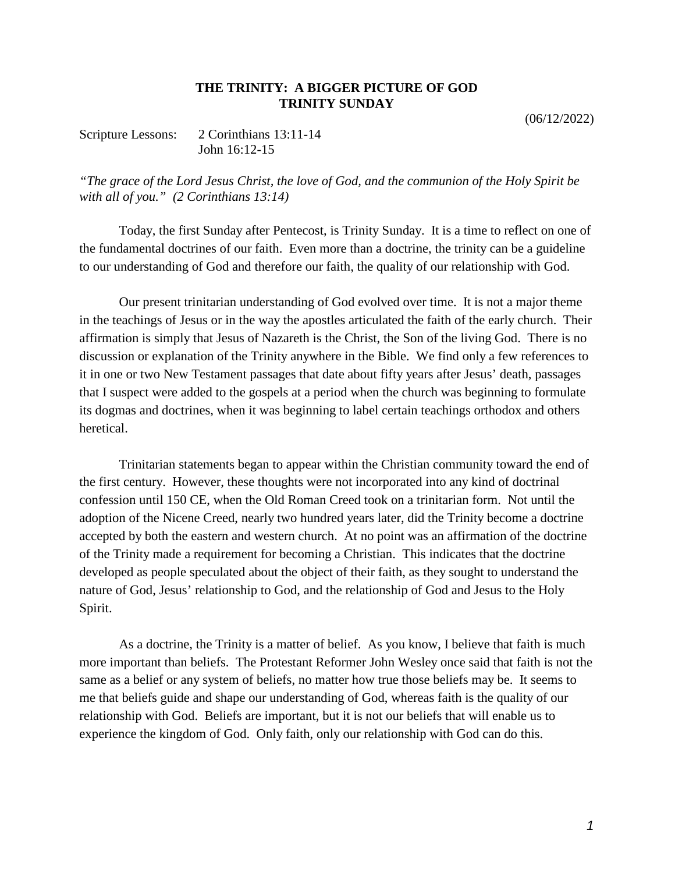## **THE TRINITY: A BIGGER PICTURE OF GOD TRINITY SUNDAY**

(06/12/2022)

Scripture Lessons: 2 Corinthians 13:11-14 John 16:12-15

*"The grace of the Lord Jesus Christ, the love of God, and the communion of the Holy Spirit be with all of you." (2 Corinthians 13:14)*

Today, the first Sunday after Pentecost, is Trinity Sunday. It is a time to reflect on one of the fundamental doctrines of our faith. Even more than a doctrine, the trinity can be a guideline to our understanding of God and therefore our faith, the quality of our relationship with God.

Our present trinitarian understanding of God evolved over time. It is not a major theme in the teachings of Jesus or in the way the apostles articulated the faith of the early church. Their affirmation is simply that Jesus of Nazareth is the Christ, the Son of the living God. There is no discussion or explanation of the Trinity anywhere in the Bible. We find only a few references to it in one or two New Testament passages that date about fifty years after Jesus' death, passages that I suspect were added to the gospels at a period when the church was beginning to formulate its dogmas and doctrines, when it was beginning to label certain teachings orthodox and others heretical.

Trinitarian statements began to appear within the Christian community toward the end of the first century. However, these thoughts were not incorporated into any kind of doctrinal confession until 150 CE, when the Old Roman Creed took on a trinitarian form. Not until the adoption of the Nicene Creed, nearly two hundred years later, did the Trinity become a doctrine accepted by both the eastern and western church. At no point was an affirmation of the doctrine of the Trinity made a requirement for becoming a Christian. This indicates that the doctrine developed as people speculated about the object of their faith, as they sought to understand the nature of God, Jesus' relationship to God, and the relationship of God and Jesus to the Holy Spirit.

As a doctrine, the Trinity is a matter of belief. As you know, I believe that faith is much more important than beliefs. The Protestant Reformer John Wesley once said that faith is not the same as a belief or any system of beliefs, no matter how true those beliefs may be. It seems to me that beliefs guide and shape our understanding of God, whereas faith is the quality of our relationship with God. Beliefs are important, but it is not our beliefs that will enable us to experience the kingdom of God. Only faith, only our relationship with God can do this.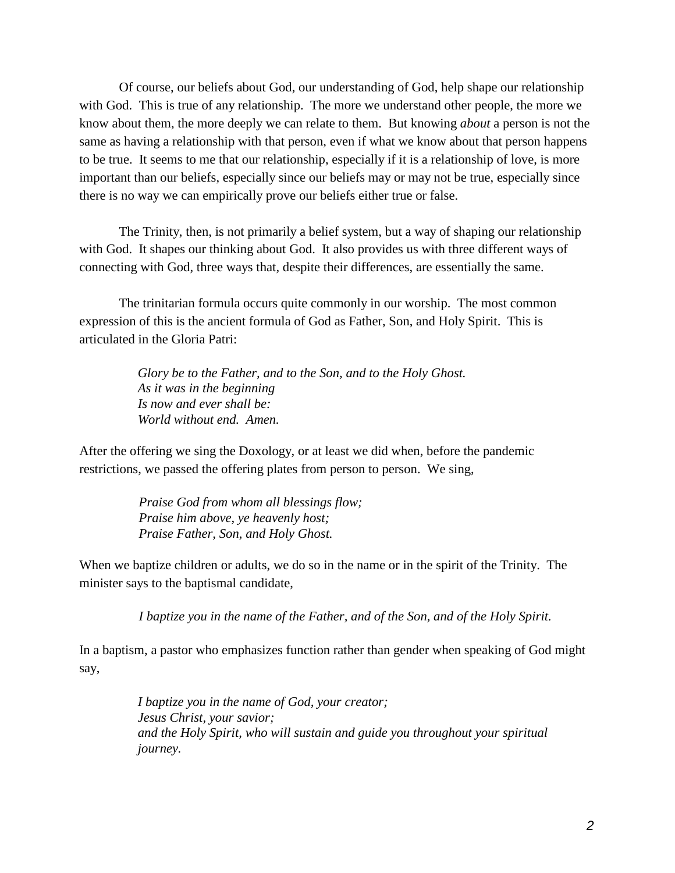Of course, our beliefs about God, our understanding of God, help shape our relationship with God. This is true of any relationship. The more we understand other people, the more we know about them, the more deeply we can relate to them. But knowing *about* a person is not the same as having a relationship with that person, even if what we know about that person happens to be true. It seems to me that our relationship, especially if it is a relationship of love, is more important than our beliefs, especially since our beliefs may or may not be true, especially since there is no way we can empirically prove our beliefs either true or false.

The Trinity, then, is not primarily a belief system, but a way of shaping our relationship with God. It shapes our thinking about God. It also provides us with three different ways of connecting with God, three ways that, despite their differences, are essentially the same.

The trinitarian formula occurs quite commonly in our worship. The most common expression of this is the ancient formula of God as Father, Son, and Holy Spirit. This is articulated in the Gloria Patri:

> *Glory be to the Father, and to the Son, and to the Holy Ghost. As it was in the beginning Is now and ever shall be: World without end. Amen.*

After the offering we sing the Doxology, or at least we did when, before the pandemic restrictions, we passed the offering plates from person to person. We sing,

> *Praise God from whom all blessings flow; Praise him above, ye heavenly host; Praise Father, Son, and Holy Ghost.*

When we baptize children or adults, we do so in the name or in the spirit of the Trinity. The minister says to the baptismal candidate,

*I baptize you in the name of the Father, and of the Son, and of the Holy Spirit.*

In a baptism, a pastor who emphasizes function rather than gender when speaking of God might say,

> *I baptize you in the name of God, your creator; Jesus Christ, your savior; and the Holy Spirit, who will sustain and guide you throughout your spiritual journey.*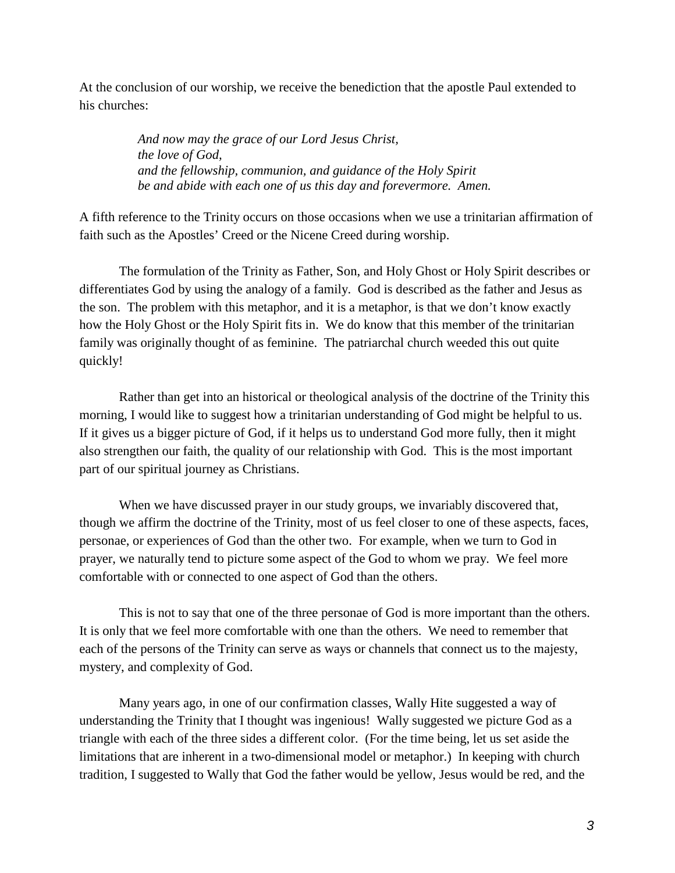At the conclusion of our worship, we receive the benediction that the apostle Paul extended to his churches:

> *And now may the grace of our Lord Jesus Christ, the love of God, and the fellowship, communion, and guidance of the Holy Spirit be and abide with each one of us this day and forevermore. Amen.*

A fifth reference to the Trinity occurs on those occasions when we use a trinitarian affirmation of faith such as the Apostles' Creed or the Nicene Creed during worship.

The formulation of the Trinity as Father, Son, and Holy Ghost or Holy Spirit describes or differentiates God by using the analogy of a family. God is described as the father and Jesus as the son. The problem with this metaphor, and it is a metaphor, is that we don't know exactly how the Holy Ghost or the Holy Spirit fits in. We do know that this member of the trinitarian family was originally thought of as feminine. The patriarchal church weeded this out quite quickly!

Rather than get into an historical or theological analysis of the doctrine of the Trinity this morning, I would like to suggest how a trinitarian understanding of God might be helpful to us. If it gives us a bigger picture of God, if it helps us to understand God more fully, then it might also strengthen our faith, the quality of our relationship with God. This is the most important part of our spiritual journey as Christians.

When we have discussed prayer in our study groups, we invariably discovered that, though we affirm the doctrine of the Trinity, most of us feel closer to one of these aspects, faces, personae, or experiences of God than the other two. For example, when we turn to God in prayer, we naturally tend to picture some aspect of the God to whom we pray. We feel more comfortable with or connected to one aspect of God than the others.

This is not to say that one of the three personae of God is more important than the others. It is only that we feel more comfortable with one than the others. We need to remember that each of the persons of the Trinity can serve as ways or channels that connect us to the majesty, mystery, and complexity of God.

Many years ago, in one of our confirmation classes, Wally Hite suggested a way of understanding the Trinity that I thought was ingenious! Wally suggested we picture God as a triangle with each of the three sides a different color. (For the time being, let us set aside the limitations that are inherent in a two-dimensional model or metaphor.) In keeping with church tradition, I suggested to Wally that God the father would be yellow, Jesus would be red, and the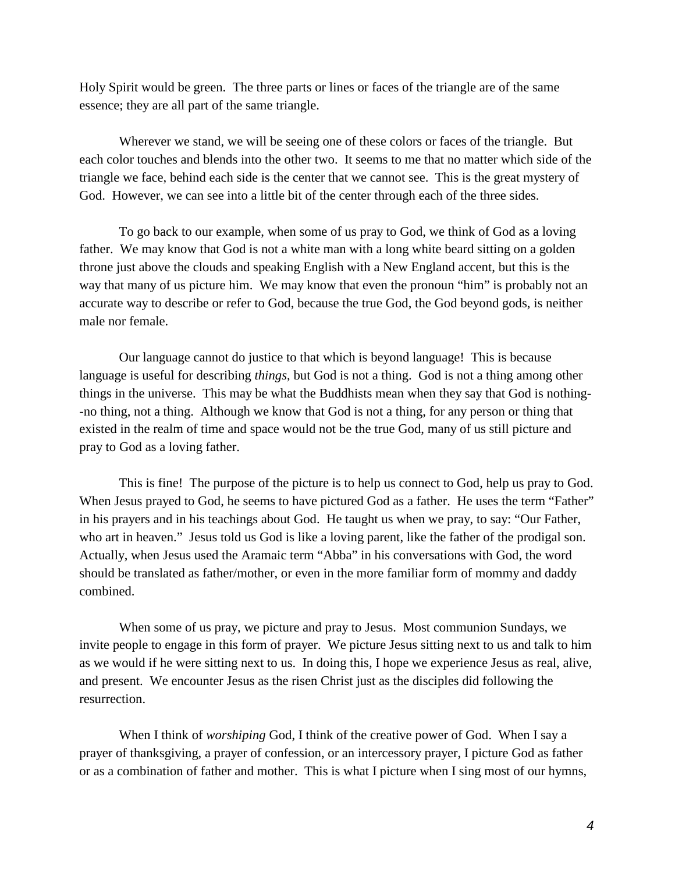Holy Spirit would be green. The three parts or lines or faces of the triangle are of the same essence; they are all part of the same triangle.

Wherever we stand, we will be seeing one of these colors or faces of the triangle. But each color touches and blends into the other two. It seems to me that no matter which side of the triangle we face, behind each side is the center that we cannot see. This is the great mystery of God. However, we can see into a little bit of the center through each of the three sides.

To go back to our example, when some of us pray to God, we think of God as a loving father. We may know that God is not a white man with a long white beard sitting on a golden throne just above the clouds and speaking English with a New England accent, but this is the way that many of us picture him. We may know that even the pronoun "him" is probably not an accurate way to describe or refer to God, because the true God, the God beyond gods, is neither male nor female.

Our language cannot do justice to that which is beyond language! This is because language is useful for describing *things*, but God is not a thing. God is not a thing among other things in the universe. This may be what the Buddhists mean when they say that God is nothing- -no thing, not a thing. Although we know that God is not a thing, for any person or thing that existed in the realm of time and space would not be the true God, many of us still picture and pray to God as a loving father.

This is fine! The purpose of the picture is to help us connect to God, help us pray to God. When Jesus prayed to God, he seems to have pictured God as a father. He uses the term "Father" in his prayers and in his teachings about God. He taught us when we pray, to say: "Our Father, who art in heaven." Jesus told us God is like a loving parent, like the father of the prodigal son. Actually, when Jesus used the Aramaic term "Abba" in his conversations with God, the word should be translated as father/mother, or even in the more familiar form of mommy and daddy combined.

When some of us pray, we picture and pray to Jesus. Most communion Sundays, we invite people to engage in this form of prayer. We picture Jesus sitting next to us and talk to him as we would if he were sitting next to us. In doing this, I hope we experience Jesus as real, alive, and present. We encounter Jesus as the risen Christ just as the disciples did following the resurrection.

When I think of *worshiping* God, I think of the creative power of God. When I say a prayer of thanksgiving, a prayer of confession, or an intercessory prayer, I picture God as father or as a combination of father and mother. This is what I picture when I sing most of our hymns,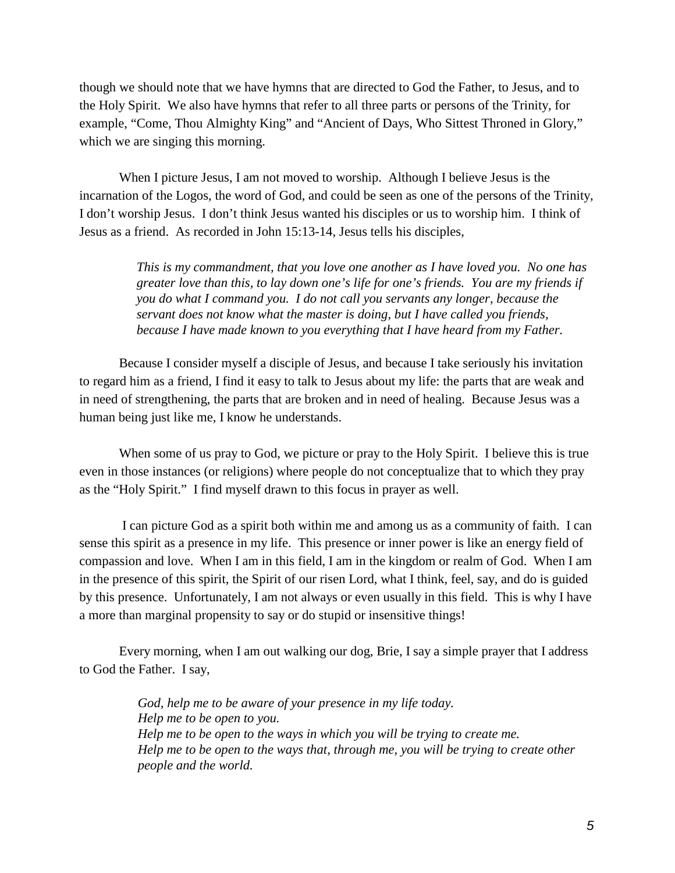though we should note that we have hymns that are directed to God the Father, to Jesus, and to the Holy Spirit. We also have hymns that refer to all three parts or persons of the Trinity, for example, "Come, Thou Almighty King" and "Ancient of Days, Who Sittest Throned in Glory," which we are singing this morning.

When I picture Jesus, I am not moved to worship. Although I believe Jesus is the incarnation of the Logos, the word of God, and could be seen as one of the persons of the Trinity, I don't worship Jesus. I don't think Jesus wanted his disciples or us to worship him. I think of Jesus as a friend. As recorded in John 15:13-14, Jesus tells his disciples,

> *This is my commandment, that you love one another as I have loved you. No one has greater love than this, to lay down one's life for one's friends. You are my friends if you do what I command you. I do not call you servants any longer, because the servant does not know what the master is doing, but I have called you friends, because I have made known to you everything that I have heard from my Father.*

Because I consider myself a disciple of Jesus, and because I take seriously his invitation to regard him as a friend, I find it easy to talk to Jesus about my life: the parts that are weak and in need of strengthening, the parts that are broken and in need of healing. Because Jesus was a human being just like me, I know he understands.

When some of us pray to God, we picture or pray to the Holy Spirit. I believe this is true even in those instances (or religions) where people do not conceptualize that to which they pray as the "Holy Spirit." I find myself drawn to this focus in prayer as well.

I can picture God as a spirit both within me and among us as a community of faith. I can sense this spirit as a presence in my life. This presence or inner power is like an energy field of compassion and love. When I am in this field, I am in the kingdom or realm of God. When I am in the presence of this spirit, the Spirit of our risen Lord, what I think, feel, say, and do is guided by this presence. Unfortunately, I am not always or even usually in this field. This is why I have a more than marginal propensity to say or do stupid or insensitive things!

Every morning, when I am out walking our dog, Brie, I say a simple prayer that I address to God the Father. I say,

> *God, help me to be aware of your presence in my life today. Help me to be open to you. Help me to be open to the ways in which you will be trying to create me. Help me to be open to the ways that, through me, you will be trying to create other people and the world.*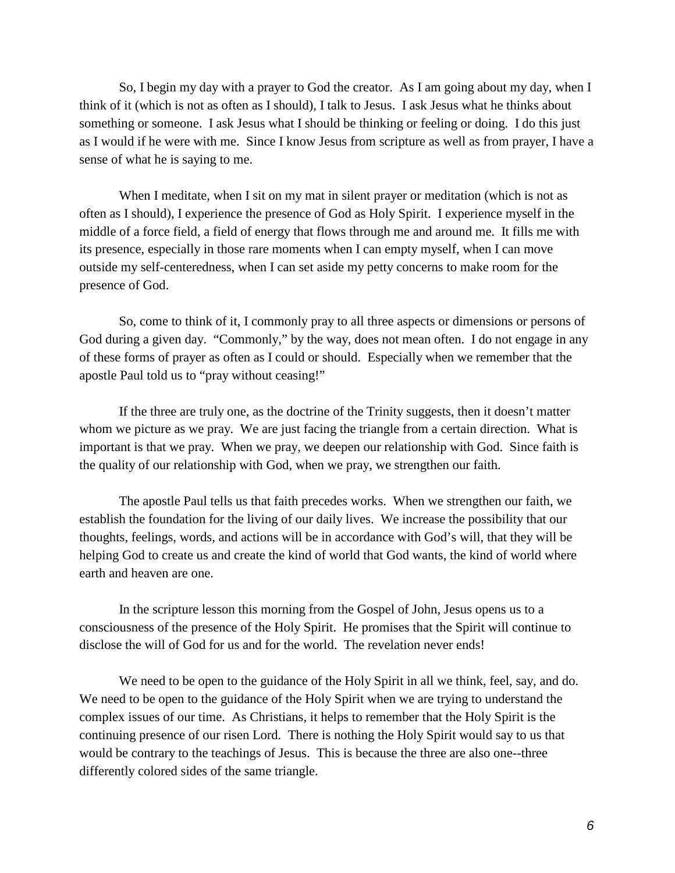So, I begin my day with a prayer to God the creator. As I am going about my day, when I think of it (which is not as often as I should), I talk to Jesus. I ask Jesus what he thinks about something or someone. I ask Jesus what I should be thinking or feeling or doing. I do this just as I would if he were with me. Since I know Jesus from scripture as well as from prayer, I have a sense of what he is saying to me.

When I meditate, when I sit on my mat in silent prayer or meditation (which is not as often as I should), I experience the presence of God as Holy Spirit. I experience myself in the middle of a force field, a field of energy that flows through me and around me. It fills me with its presence, especially in those rare moments when I can empty myself, when I can move outside my self-centeredness, when I can set aside my petty concerns to make room for the presence of God.

So, come to think of it, I commonly pray to all three aspects or dimensions or persons of God during a given day. "Commonly," by the way, does not mean often. I do not engage in any of these forms of prayer as often as I could or should. Especially when we remember that the apostle Paul told us to "pray without ceasing!"

If the three are truly one, as the doctrine of the Trinity suggests, then it doesn't matter whom we picture as we pray. We are just facing the triangle from a certain direction. What is important is that we pray. When we pray, we deepen our relationship with God. Since faith is the quality of our relationship with God, when we pray, we strengthen our faith.

The apostle Paul tells us that faith precedes works. When we strengthen our faith, we establish the foundation for the living of our daily lives. We increase the possibility that our thoughts, feelings, words, and actions will be in accordance with God's will, that they will be helping God to create us and create the kind of world that God wants, the kind of world where earth and heaven are one.

In the scripture lesson this morning from the Gospel of John, Jesus opens us to a consciousness of the presence of the Holy Spirit. He promises that the Spirit will continue to disclose the will of God for us and for the world. The revelation never ends!

We need to be open to the guidance of the Holy Spirit in all we think, feel, say, and do. We need to be open to the guidance of the Holy Spirit when we are trying to understand the complex issues of our time. As Christians, it helps to remember that the Holy Spirit is the continuing presence of our risen Lord. There is nothing the Holy Spirit would say to us that would be contrary to the teachings of Jesus. This is because the three are also one--three differently colored sides of the same triangle.